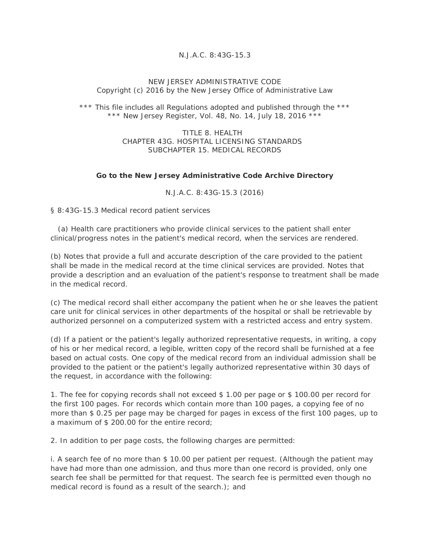## *N.J.A.C. 8:43G-15.3*

## NEW JERSEY ADMINISTRATIVE CODE Copyright (c) 2016 by the New Jersey Office of Administrative Law

\*\*\* This file includes all Regulations adopted and published through the \*\*\* \*\*\* New Jersey Register, Vol. 48, No. 14, July 18, 2016 \*\*\*

> TITLE 8 HEALTH CHAPTER 43G. HOSPITAL LICENSING STANDARDS SUBCHAPTER 15. MEDICAL RECORDS

## **Go to the New Jersey Administrative Code Archive Directory**

N.J.A.C. 8:43G-15.3 (2016)

§ 8:43G-15.3 Medical record patient services

 (a) Health care practitioners who provide clinical services to the patient shall enter clinical/progress notes in the patient's medical record, when the services are rendered.

(b) Notes that provide a full and accurate description of the care provided to the patient shall be made in the medical record at the time clinical services are provided. Notes that provide a description and an evaluation of the patient's response to treatment shall be made in the medical record.

(c) The medical record shall either accompany the patient when he or she leaves the patient care unit for clinical services in other departments of the hospital or shall be retrievable by authorized personnel on a computerized system with a restricted access and entry system.

(d) If a patient or the patient's legally authorized representative requests, in writing, a copy of his or her medical record, a legible, written copy of the record shall be furnished at a fee based on actual costs. One copy of the medical record from an individual admission shall be provided to the patient or the patient's legally authorized representative within 30 days of the request, in accordance with the following:

1. The fee for copying records shall not exceed \$ 1.00 per page or \$ 100.00 per record for the first 100 pages. For records which contain more than 100 pages, a copying fee of no more than \$ 0.25 per page may be charged for pages in excess of the first 100 pages, up to a maximum of \$ 200.00 for the entire record;

2. In addition to per page costs, the following charges are permitted:

i. A search fee of no more than \$ 10.00 per patient per request. (Although the patient may have had more than one admission, and thus more than one record is provided, only one search fee shall be permitted for that request. The search fee is permitted even though no medical record is found as a result of the search.); and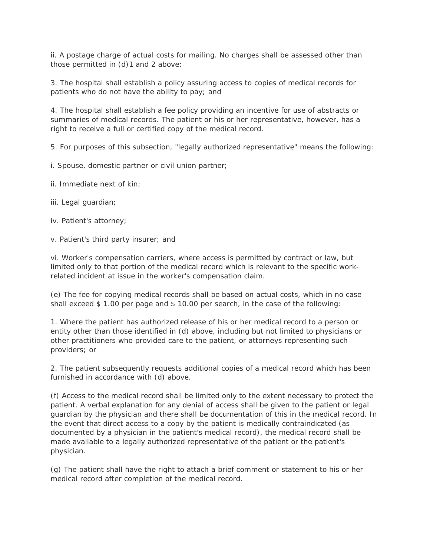ii. A postage charge of actual costs for mailing. No charges shall be assessed other than those permitted in (d)1 and 2 above;

3. The hospital shall establish a policy assuring access to copies of medical records for patients who do not have the ability to pay; and

4. The hospital shall establish a fee policy providing an incentive for use of abstracts or summaries of medical records. The patient or his or her representative, however, has a right to receive a full or certified copy of the medical record.

5. For purposes of this subsection, "legally authorized representative" means the following:

i. Spouse, domestic partner or civil union partner;

- ii. Immediate next of kin;
- iii. Legal guardian;
- iv. Patient's attorney;

v. Patient's third party insurer; and

vi. Worker's compensation carriers, where access is permitted by contract or law, but limited only to that portion of the medical record which is relevant to the specific workrelated incident at issue in the worker's compensation claim.

(e) The fee for copying medical records shall be based on actual costs, which in no case shall exceed \$ 1.00 per page and \$ 10.00 per search, in the case of the following:

1. Where the patient has authorized release of his or her medical record to a person or entity other than those identified in (d) above, including but not limited to physicians or other practitioners who provided care to the patient, or attorneys representing such providers; or

2. The patient subsequently requests additional copies of a medical record which has been furnished in accordance with (d) above.

(f) Access to the medical record shall be limited only to the extent necessary to protect the patient. A verbal explanation for any denial of access shall be given to the patient or legal guardian by the physician and there shall be documentation of this in the medical record. In the event that direct access to a copy by the patient is medically contraindicated (as documented by a physician in the patient's medical record), the medical record shall be made available to a legally authorized representative of the patient or the patient's physician.

(g) The patient shall have the right to attach a brief comment or statement to his or her medical record after completion of the medical record.